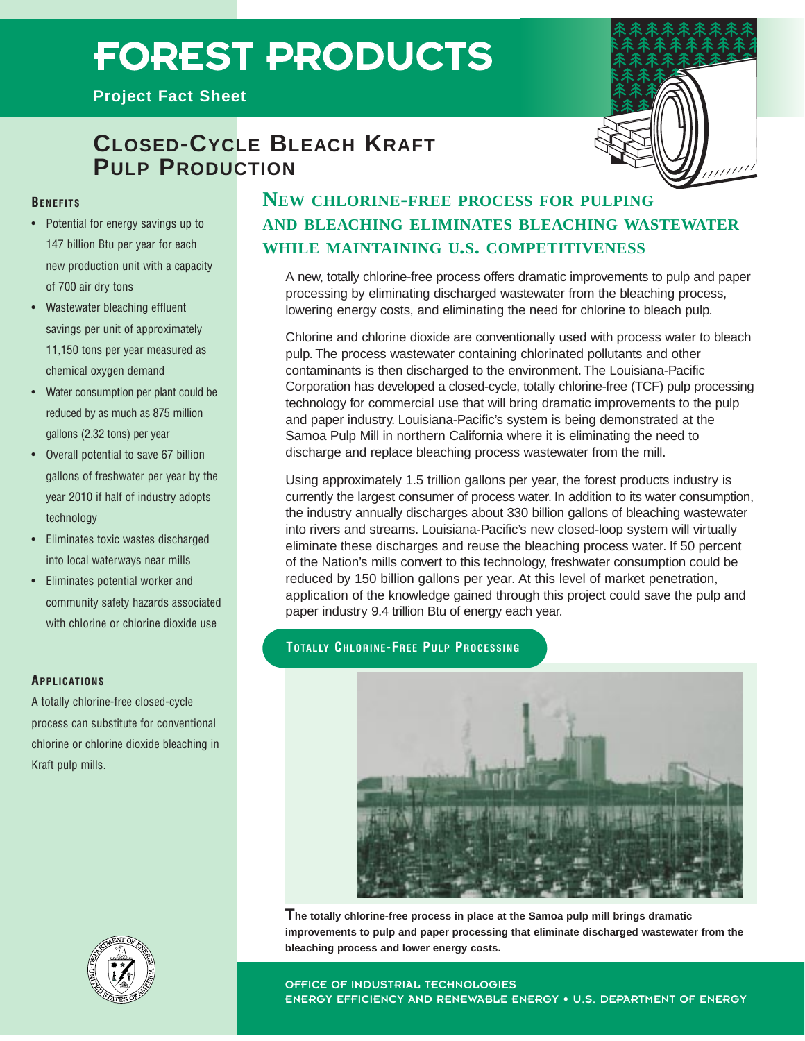# **FOREST PRODUCTS**

**Project Fact Sheet**



# **CLOSED-CYCLE BLEACH KRAFT PULP PRODUCTION**

## **BENEFITS**

- Potential for energy savings up to 147 billion Btu per year for each new production unit with a capacity of 700 air dry tons
- Wastewater bleaching effluent savings per unit of approximately 11,150 tons per year measured as chemical oxygen demand
- Water consumption per plant could be reduced by as much as 875 million gallons (2.32 tons) per year
- Overall potential to save 67 billion gallons of freshwater per year by the year 2010 if half of industry adopts technology
- Eliminates toxic wastes discharged into local waterways near mills
- Eliminates potential worker and community safety hazards associated with chlorine or chlorine dioxide use

### **APPLICATIONS**

A totally chlorine-free closed-cycle process can substitute for conventional chlorine or chlorine dioxide bleaching in Kraft pulp mills.

# **NEW CHLORINE-FREE PROCESS FOR PULPING AND BLEACHING ELIMINATES BLEACHING WASTEWATER WHILE MAINTAINING U.S. COMPETITIVENESS**

A new, totally chlorine-free process offers dramatic improvements to pulp and paper processing by eliminating discharged wastewater from the bleaching process, lowering energy costs, and eliminating the need for chlorine to bleach pulp.

Chlorine and chlorine dioxide are conventionally used with process water to bleach pulp. The process wastewater containing chlorinated pollutants and other contaminants is then discharged to the environment. The Louisiana-Pacific Corporation has developed a closed-cycle, totally chlorine-free (TCF) pulp processing technology for commercial use that will bring dramatic improvements to the pulp and paper industry. Louisiana-Pacific's system is being demonstrated at the Samoa Pulp Mill in northern California where it is eliminating the need to discharge and replace bleaching process wastewater from the mill.

Using approximately 1.5 trillion gallons per year, the forest products industry is currently the largest consumer of process water. In addition to its water consumption, the industry annually discharges about 330 billion gallons of bleaching wastewater into rivers and streams. Louisiana-Pacific's new closed-loop system will virtually eliminate these discharges and reuse the bleaching process water. If 50 percent of the Nation's mills convert to this technology, freshwater consumption could be reduced by 150 billion gallons per year. At this level of market penetration, application of the knowledge gained through this project could save the pulp and paper industry 9.4 trillion Btu of energy each year.

# **TOTALLY CHLORINE-FREE PULP PROCESSING**



**The totally chlorine-free process in place at the Samoa pulp mill brings dramatic improvements to pulp and paper processing that eliminate discharged wastewater from the bleaching process and lower energy costs.**